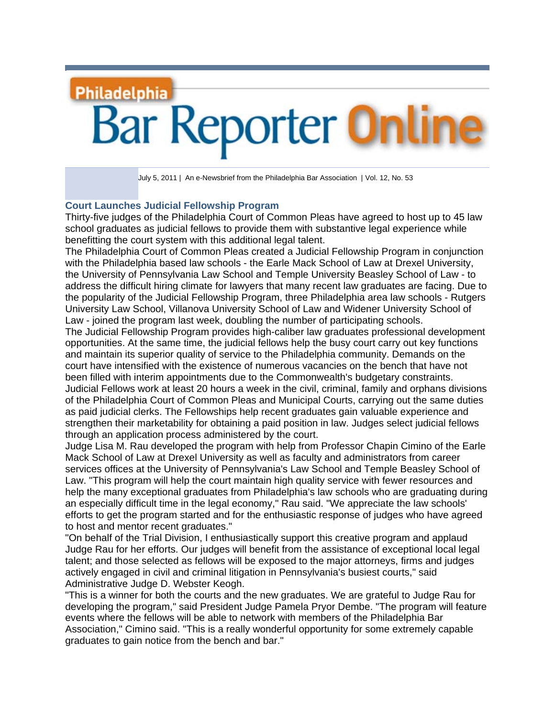## **Philadelphia Bar Reporter On**

July 5, 2011| An e-Newsbrief from the Philadelphia Bar Association | Vol. 12, No. 53

## **Court Launches Judicial Fellowship Program**

Thirty-five judges of the Philadelphia Court of Common Pleas have agreed to host up to 45 law school graduates as judicial fellows to provide them with substantive legal experience while benefitting the court system with this additional legal talent.

The Philadelphia Court of Common Pleas created a Judicial Fellowship Program in conjunction with the Philadelphia based law schools - the Earle Mack School of Law at Drexel University, the University of Pennsylvania Law School and Temple University Beasley School of Law - to address the difficult hiring climate for lawyers that many recent law graduates are facing. Due to the popularity of the Judicial Fellowship Program, three Philadelphia area law schools - Rutgers University Law School, Villanova University School of Law and Widener University School of Law - joined the program last week, doubling the number of participating schools.

The Judicial Fellowship Program provides high-caliber law graduates professional development opportunities. At the same time, the judicial fellows help the busy court carry out key functions and maintain its superior quality of service to the Philadelphia community. Demands on the court have intensified with the existence of numerous vacancies on the bench that have not been filled with interim appointments due to the Commonwealth's budgetary constraints. Judicial Fellows work at least 20 hours a week in the civil, criminal, family and orphans divisions of the Philadelphia Court of Common Pleas and Municipal Courts, carrying out the same duties as paid judicial clerks. The Fellowships help recent graduates gain valuable experience and strengthen their marketability for obtaining a paid position in law. Judges select judicial fellows through an application process administered by the court.

Judge Lisa M. Rau developed the program with help from Professor Chapin Cimino of the Earle Mack School of Law at Drexel University as well as faculty and administrators from career services offices at the University of Pennsylvania's Law School and Temple Beasley School of Law. "This program will help the court maintain high quality service with fewer resources and help the many exceptional graduates from Philadelphia's law schools who are graduating during an especially difficult time in the legal economy," Rau said. "We appreciate the law schools' efforts to get the program started and for the enthusiastic response of judges who have agreed to host and mentor recent graduates."

"On behalf of the Trial Division, I enthusiastically support this creative program and applaud Judge Rau for her efforts. Our judges will benefit from the assistance of exceptional local legal talent; and those selected as fellows will be exposed to the major attorneys, firms and judges actively engaged in civil and criminal litigation in Pennsylvania's busiest courts," said Administrative Judge D. Webster Keogh.

"This is a winner for both the courts and the new graduates. We are grateful to Judge Rau for developing the program," said President Judge Pamela Pryor Dembe. "The program will feature events where the fellows will be able to network with members of the Philadelphia Bar Association," Cimino said. "This is a really wonderful opportunity for some extremely capable graduates to gain notice from the bench and bar."